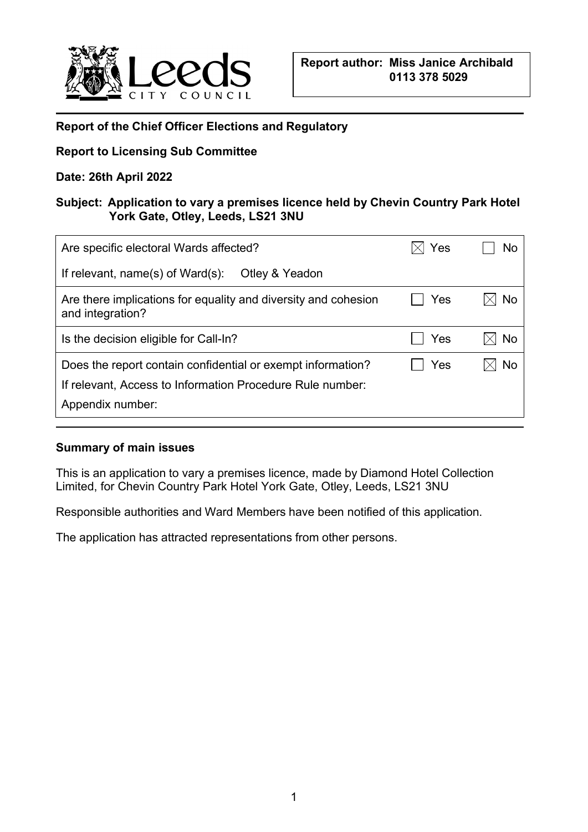

# **Report of the Chief Officer Elections and Regulatory**

## **Report to Licensing Sub Committee**

## **Date: 26th April 2022**

## **Subject: Application to vary a premises licence held by Chevin Country Park Hotel York Gate, Otley, Leeds, LS21 3NU**

| Are specific electoral Wards affected?                                                                                                       | Yes | No |
|----------------------------------------------------------------------------------------------------------------------------------------------|-----|----|
| If relevant, $name(s)$ of Ward $(s)$ :<br>Otley & Yeadon                                                                                     |     |    |
| Are there implications for equality and diversity and cohesion<br>and integration?                                                           | Yes | No |
| Is the decision eligible for Call-In?                                                                                                        | Yes | No |
| Does the report contain confidential or exempt information?<br>If relevant, Access to Information Procedure Rule number:<br>Appendix number: | Yes | No |
|                                                                                                                                              |     |    |

## **Summary of main issues**

This is an application to vary a premises licence, made by Diamond Hotel Collection Limited, for Chevin Country Park Hotel York Gate, Otley, Leeds, LS21 3NU

Responsible authorities and Ward Members have been notified of this application.

The application has attracted representations from other persons.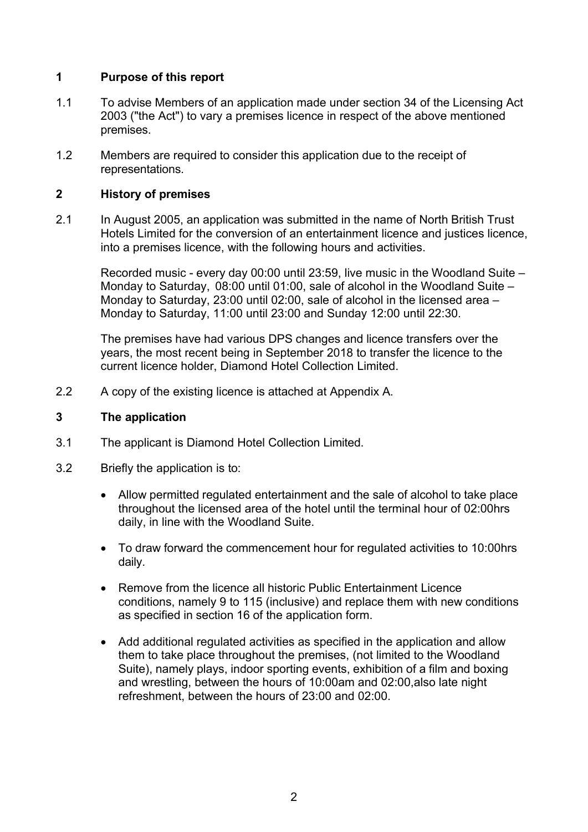### **1 Purpose of this report**

- 1.1 To advise Members of an application made under section 34 of the Licensing Act 2003 ("the Act") to vary a premises licence in respect of the above mentioned premises.
- 1.2 Members are required to consider this application due to the receipt of representations.

#### **2 History of premises**

2.1 In August 2005, an application was submitted in the name of North British Trust Hotels Limited for the conversion of an entertainment licence and justices licence, into a premises licence, with the following hours and activities.

Recorded music - every day 00:00 until 23:59, live music in the Woodland Suite – Monday to Saturday, 08:00 until 01:00, sale of alcohol in the Woodland Suite – Monday to Saturday, 23:00 until 02:00, sale of alcohol in the licensed area – Monday to Saturday, 11:00 until 23:00 and Sunday 12:00 until 22:30.

The premises have had various DPS changes and licence transfers over the years, the most recent being in September 2018 to transfer the licence to the current licence holder, Diamond Hotel Collection Limited.

2.2 A copy of the existing licence is attached at Appendix A.

#### **3 The application**

- 3.1 The applicant is Diamond Hotel Collection Limited.
- 3.2 Briefly the application is to:
	- Allow permitted regulated entertainment and the sale of alcohol to take place throughout the licensed area of the hotel until the terminal hour of 02:00hrs daily, in line with the Woodland Suite.
	- To draw forward the commencement hour for regulated activities to 10:00hrs daily.
	- Remove from the licence all historic Public Entertainment Licence conditions, namely 9 to 115 (inclusive) and replace them with new conditions as specified in section 16 of the application form.
	- Add additional regulated activities as specified in the application and allow them to take place throughout the premises, (not limited to the Woodland Suite), namely plays, indoor sporting events, exhibition of a film and boxing and wrestling, between the hours of 10:00am and 02:00,also late night refreshment, between the hours of 23:00 and 02:00.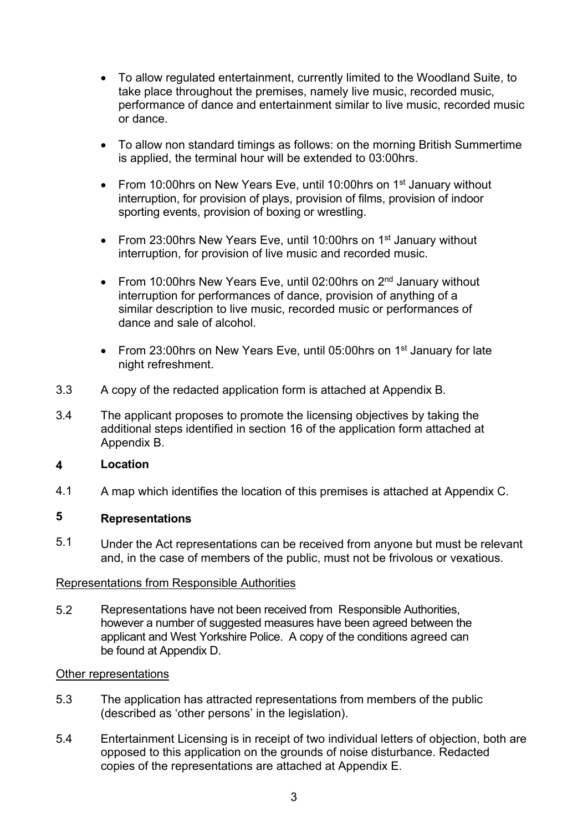- To allow regulated entertainment, currently limited to the Woodland Suite, to take place throughout the premises, namely live music, recorded music, performance of dance and entertainment similar to live music, recorded music or dance.
- To allow non standard timings as follows: on the morning British Summertime is applied, the terminal hour will be extended to 03:00hrs.
- From 10:00 hrs on New Years Eve, until 10:00 hrs on 1<sup>st</sup> January without interruption, for provision of plays, provision of films, provision of indoor sporting events, provision of boxing or wrestling.
- From 23:00 hrs New Years Eve, until 10:00 hrs on  $1<sup>st</sup>$  January without interruption, for provision of live music and recorded music.
- From 10:00 hrs New Years Eve, until 02:00 hrs on  $2<sup>nd</sup>$  January without interruption for performances of dance, provision of anything of a similar description to live music, recorded music or performances of dance and sale of alcohol.
- From 23:00hrs on New Years Eve, until 05:00hrs on 1<sup>st</sup> January for late night refreshment.
- 3.3 A copy of the redacted application form is attached at Appendix B.
- 3.4 The applicant proposes to promote the licensing objectives by taking the additional steps identified in section 16 of the application form attached at Appendix B.

#### **4 Location**

4.1 A map which identifies the location of this premises is attached at Appendix C.

### **5 Representations**

5.1 Under the Act representations can be received from anyone but must be relevant and, in the case of members of the public, must not be frivolous or vexatious.

## Representations from Responsible Authorities

Representations have not been received from Responsible Authorities, however a number of suggested measures have been agreed between the applicant and West Yorkshire Police. A copy of the conditions agreed can be found at Appendix D. 5.2

### Other representations

- 5.3 The application has attracted representations from members of the public (described as 'other persons' in the legislation).
- 5.4 Entertainment Licensing is in receipt of two individual letters of objection, both are opposed to this application on the grounds of noise disturbance. Redacted copies of the representations are attached at Appendix E.